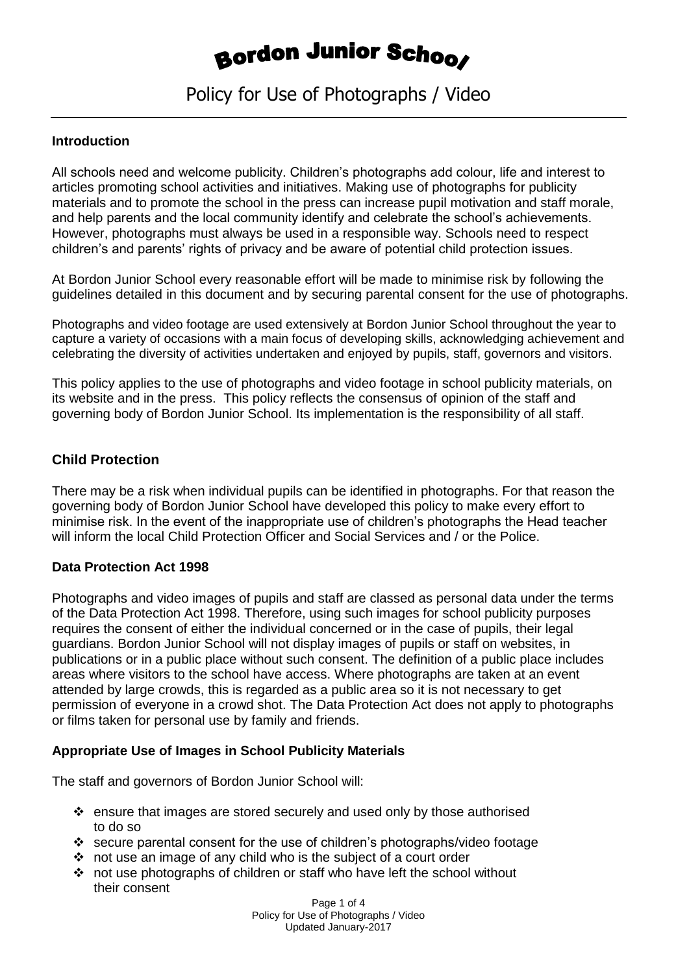## **Bordon Junior Schoo**

## Policy for Use of Photographs / Video

#### **Introduction**

All schools need and welcome publicity. Children's photographs add colour, life and interest to articles promoting school activities and initiatives. Making use of photographs for publicity materials and to promote the school in the press can increase pupil motivation and staff morale, and help parents and the local community identify and celebrate the school's achievements. However, photographs must always be used in a responsible way. Schools need to respect children's and parents' rights of privacy and be aware of potential child protection issues.

At Bordon Junior School every reasonable effort will be made to minimise risk by following the guidelines detailed in this document and by securing parental consent for the use of photographs.

Photographs and video footage are used extensively at Bordon Junior School throughout the year to capture a variety of occasions with a main focus of developing skills, acknowledging achievement and celebrating the diversity of activities undertaken and enjoyed by pupils, staff, governors and visitors.

This policy applies to the use of photographs and video footage in school publicity materials, on its website and in the press. This policy reflects the consensus of opinion of the staff and governing body of Bordon Junior School. Its implementation is the responsibility of all staff.

#### **Child Protection**

There may be a risk when individual pupils can be identified in photographs. For that reason the governing body of Bordon Junior School have developed this policy to make every effort to minimise risk. In the event of the inappropriate use of children's photographs the Head teacher will inform the local Child Protection Officer and Social Services and / or the Police.

#### **Data Protection Act 1998**

Photographs and video images of pupils and staff are classed as personal data under the terms of the Data Protection Act 1998. Therefore, using such images for school publicity purposes requires the consent of either the individual concerned or in the case of pupils, their legal guardians. Bordon Junior School will not display images of pupils or staff on websites, in publications or in a public place without such consent. The definition of a public place includes areas where visitors to the school have access. Where photographs are taken at an event attended by large crowds, this is regarded as a public area so it is not necessary to get permission of everyone in a crowd shot. The Data Protection Act does not apply to photographs or films taken for personal use by family and friends.

#### **Appropriate Use of Images in School Publicity Materials**

The staff and governors of Bordon Junior School will:

- $\cdot \cdot$  ensure that images are stored securely and used only by those authorised to do so
- secure parental consent for the use of children's photographs/video footage
- $\cdot \cdot$  not use an image of any child who is the subject of a court order
- not use photographs of children or staff who have left the school without their consent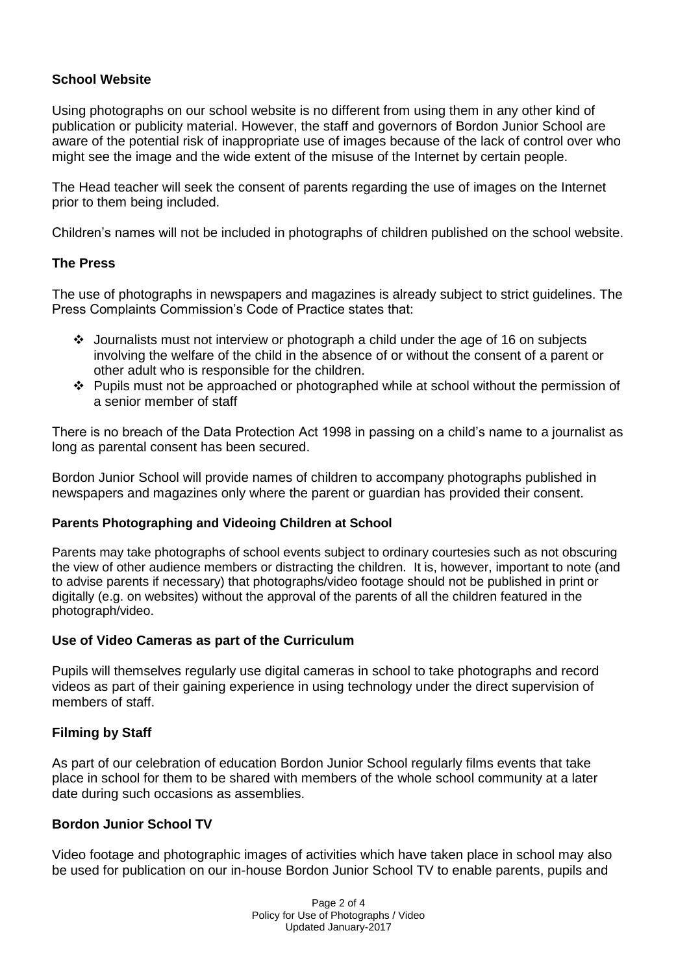#### **School Website**

Using photographs on our school website is no different from using them in any other kind of publication or publicity material. However, the staff and governors of Bordon Junior School are aware of the potential risk of inappropriate use of images because of the lack of control over who might see the image and the wide extent of the misuse of the Internet by certain people.

The Head teacher will seek the consent of parents regarding the use of images on the Internet prior to them being included.

Children's names will not be included in photographs of children published on the school website.

#### **The Press**

The use of photographs in newspapers and magazines is already subject to strict guidelines. The Press Complaints Commission's Code of Practice states that:

- Journalists must not interview or photograph a child under the age of 16 on subjects involving the welfare of the child in the absence of or without the consent of a parent or other adult who is responsible for the children.
- $\div$  Pupils must not be approached or photographed while at school without the permission of a senior member of staff

There is no breach of the Data Protection Act 1998 in passing on a child's name to a journalist as long as parental consent has been secured.

Bordon Junior School will provide names of children to accompany photographs published in newspapers and magazines only where the parent or guardian has provided their consent.

#### **Parents Photographing and Videoing Children at School**

Parents may take photographs of school events subject to ordinary courtesies such as not obscuring the view of other audience members or distracting the children. It is, however, important to note (and to advise parents if necessary) that photographs/video footage should not be published in print or digitally (e.g. on websites) without the approval of the parents of all the children featured in the photograph/video.

#### **Use of Video Cameras as part of the Curriculum**

Pupils will themselves regularly use digital cameras in school to take photographs and record videos as part of their gaining experience in using technology under the direct supervision of members of staff.

#### **Filming by Staff**

As part of our celebration of education Bordon Junior School regularly films events that take place in school for them to be shared with members of the whole school community at a later date during such occasions as assemblies.

#### **Bordon Junior School TV**

Video footage and photographic images of activities which have taken place in school may also be used for publication on our in-house Bordon Junior School TV to enable parents, pupils and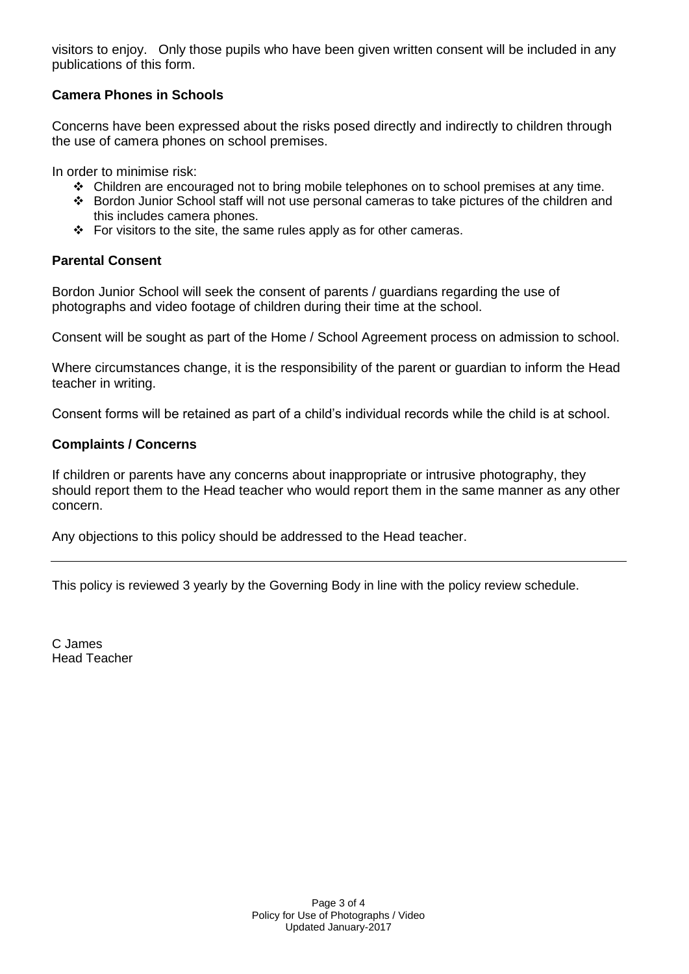visitors to enjoy. Only those pupils who have been given written consent will be included in any publications of this form.

#### **Camera Phones in Schools**

Concerns have been expressed about the risks posed directly and indirectly to children through the use of camera phones on school premises.

In order to minimise risk:

- Children are encouraged not to bring mobile telephones on to school premises at any time.
- Bordon Junior School staff will not use personal cameras to take pictures of the children and this includes camera phones.
- $\div$  For visitors to the site, the same rules apply as for other cameras.

#### **Parental Consent**

Bordon Junior School will seek the consent of parents / guardians regarding the use of photographs and video footage of children during their time at the school.

Consent will be sought as part of the Home / School Agreement process on admission to school.

Where circumstances change, it is the responsibility of the parent or guardian to inform the Head teacher in writing.

Consent forms will be retained as part of a child's individual records while the child is at school.

#### **Complaints / Concerns**

If children or parents have any concerns about inappropriate or intrusive photography, they should report them to the Head teacher who would report them in the same manner as any other concern.

Any objections to this policy should be addressed to the Head teacher.

This policy is reviewed 3 yearly by the Governing Body in line with the policy review schedule.

C James Head Teacher